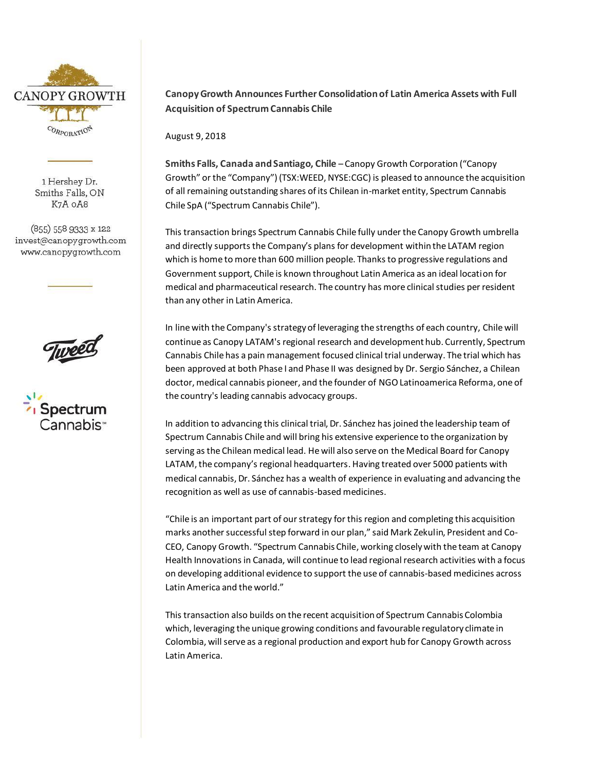

1 Hershey Dr. Smiths Falls, ON K7A OA8

(855) 558 9333 x 122 invest@canopygrowth.com www.canopygrowth.com





## **Canopy Growth Announces Further Consolidation of Latin America Assets with Full Acquisition of Spectrum Cannabis Chile**

August 9, 2018

**Smiths Falls, Canada and Santiago, Chile** – Canopy Growth Corporation ("Canopy Growth" or the "Company") (TSX:WEED, NYSE:CGC) is pleased to announce the acquisition of all remaining outstanding shares of its Chilean in-market entity, Spectrum Cannabis Chile SpA ("Spectrum Cannabis Chile").

This transaction brings Spectrum Cannabis Chile fully under the Canopy Growth umbrella and directly supports the Company's plans for development within the LATAM region which is home to more than 600 million people. Thanks to progressive regulations and Government support, Chile is known throughout Latin America as an ideal location for medical and pharmaceutical research. The country has more clinical studies per resident than any other in Latin America.

In line with the Company's strategy of leveraging the strengths of each country, Chile will continue as Canopy LATAM's regional research and development hub. Currently, Spectrum Cannabis Chile has a pain management focused clinical trial underway. The trial which has been approved at both Phase I and Phase II was designed by Dr. Sergio Sánchez, a Chilean doctor, medical cannabis pioneer, and the founder of NGO Latinoamerica Reforma, one of the country's leading cannabis advocacy groups.

In addition to advancing this clinical trial, Dr. Sánchez has joined the leadership team of Spectrum Cannabis Chile and will bring his extensive experience to the organization by serving as the Chilean medical lead. He will also serve on the Medical Board for Canopy LATAM, the company's regional headquarters. Having treated over 5000 patients with medical cannabis, Dr. Sánchez has a wealth of experience in evaluating and advancing the recognition as well as use of cannabis-based medicines.

"Chile is an important part of our strategy for this region and completing this acquisition marks another successful step forward in our plan," said Mark Zekulin, President and Co-CEO, Canopy Growth. "Spectrum Cannabis Chile, working closely with the team at Canopy Health Innovations in Canada, will continue to lead regional research activities with a focus on developing additional evidence to support the use of cannabis-based medicines across Latin America and the world."

This transaction also builds on the recent acquisition of Spectrum Cannabis Colombia which, leveraging the unique growing conditions and favourable regulatory climate in Colombia, will serve as a regional production and export hub for Canopy Growth across Latin America.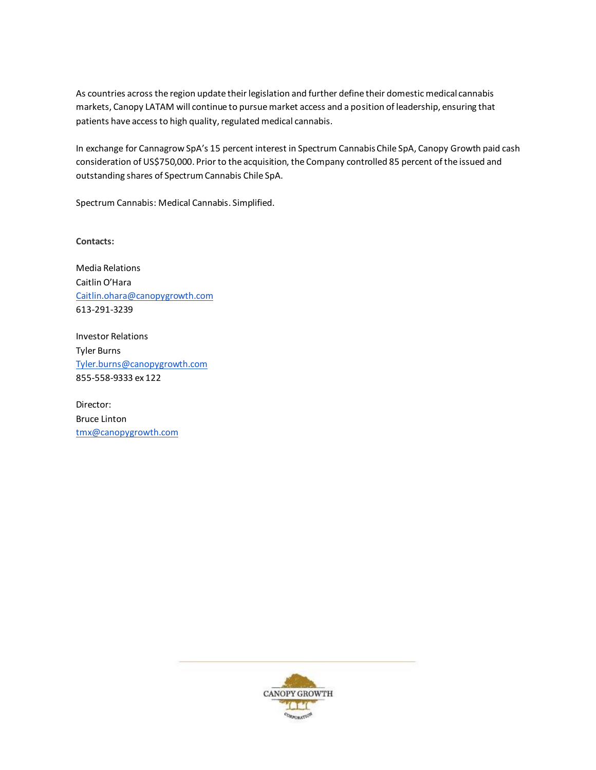As countries across the region update their legislation and further define their domestic medical cannabis markets, Canopy LATAM will continue to pursue market access and a position of leadership, ensuring that patients have access to high quality, regulated medical cannabis.

In exchange for Cannagrow SpA's 15 percent interest in Spectrum Cannabis Chile SpA, Canopy Growth paid cash consideration of US\$750,000. Prior to the acquisition, the Company controlled 85 percent of the issued and outstanding shares of Spectrum Cannabis Chile SpA.

Spectrum Cannabis: Medical Cannabis. Simplified.

**Contacts:**

Media Relations Caitlin O'Hara [Caitlin.ohara@canopygrowth.com](mailto:Caitlin.ohara@canopygrowth.com) 613-291-3239

Investor Relations Tyler Burns [Tyler.burns@canopygrowth.com](mailto:Tyler.burns@canopygrowth.com) 855-558-9333 ex 122

Director: Bruce Linton [tmx@canopygrowth.com](mailto:tmx@canopygrowth.com)